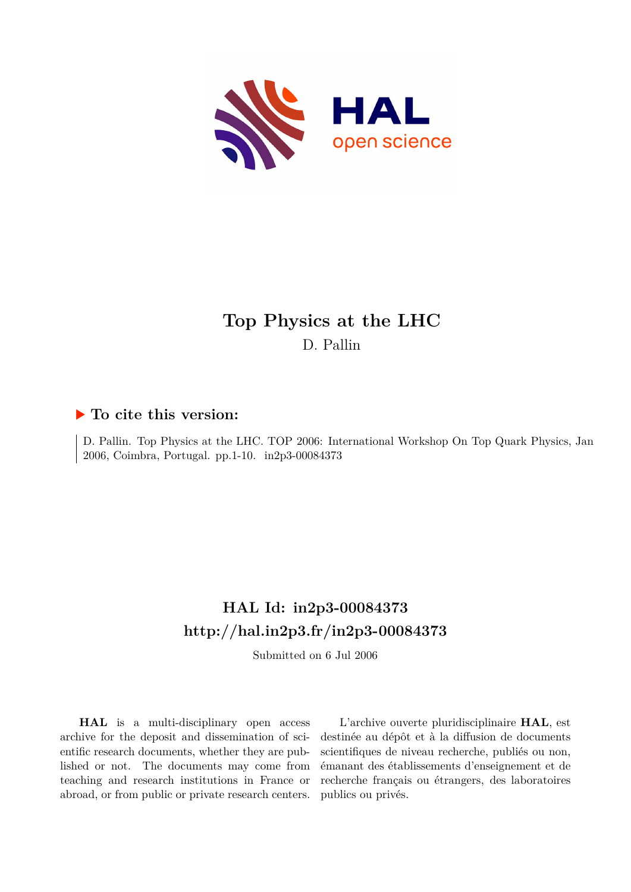

# **Top Physics at the LHC** D. Pallin

### **To cite this version:**

D. Pallin. Top Physics at the LHC. TOP 2006: International Workshop On Top Quark Physics, Jan 2006, Coimbra, Portugal. pp.1-10. in2p3-00084373

## **HAL Id: in2p3-00084373 <http://hal.in2p3.fr/in2p3-00084373>**

Submitted on 6 Jul 2006

**HAL** is a multi-disciplinary open access archive for the deposit and dissemination of scientific research documents, whether they are published or not. The documents may come from teaching and research institutions in France or abroad, or from public or private research centers.

L'archive ouverte pluridisciplinaire **HAL**, est destinée au dépôt et à la diffusion de documents scientifiques de niveau recherche, publiés ou non, émanant des établissements d'enseignement et de recherche français ou étrangers, des laboratoires publics ou privés.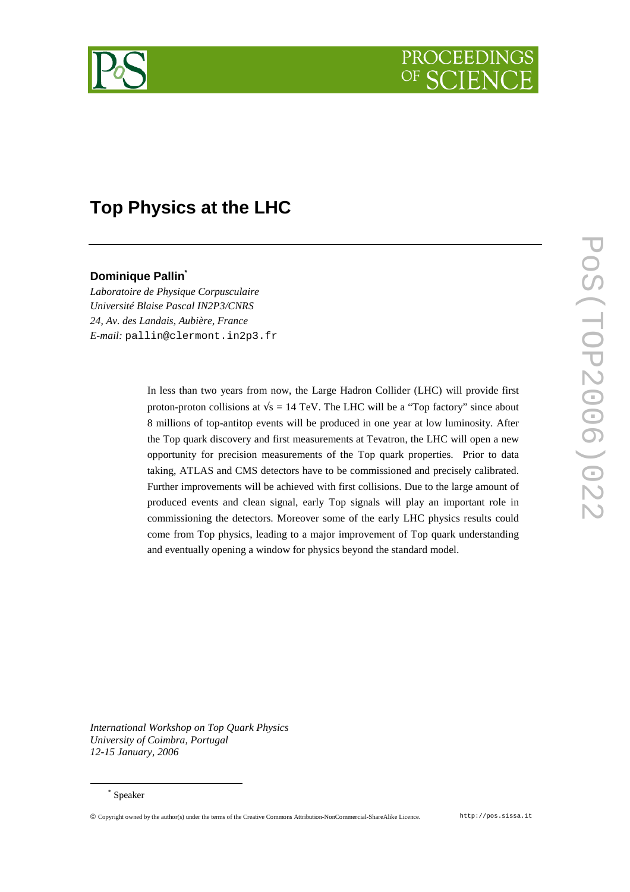

# **Top Physics at the LHC**

### **Dominique Pallin\***

*Laboratoire de Physique Corpusculaire Université Blaise Pascal IN2P3/CNRS 24, Av. des Landais, Aubière, France E-mail:* pallin@clermont.in2p3.fr

> In less than two years from now, the Large Hadron Collider (LHC) will provide first proton-proton collisions at  $\sqrt{s}$  = 14 TeV. The LHC will be a "Top factory" since about 8 millions of top-antitop events will be produced in one year at low luminosity. After the Top quark discovery and first measurements at Tevatron, the LHC will open a new opportunity for precision measurements of the Top quark properties. Prior to data taking, ATLAS and CMS detectors have to be commissioned and precisely calibrated. Further improvements will be achieved with first collisions. Due to the large amount of produced events and clean signal, early Top signals will play an important role in commissioning the detectors. Moreover some of the early LHC physics results could come from Top physics, leading to a major improvement of Top quark understanding and eventually opening a window for physics beyond the standard model.

*International Workshop on Top Quark Physics University of Coimbra, Portugal 12-15 January, 2006*

 $\overline{a}$ 

Copyright owned by the author(s) under the terms of the Creative Commons Attribution-NonCommercial-ShareAlike Licence. http://pos.sissa.it

<sup>\*</sup> Speaker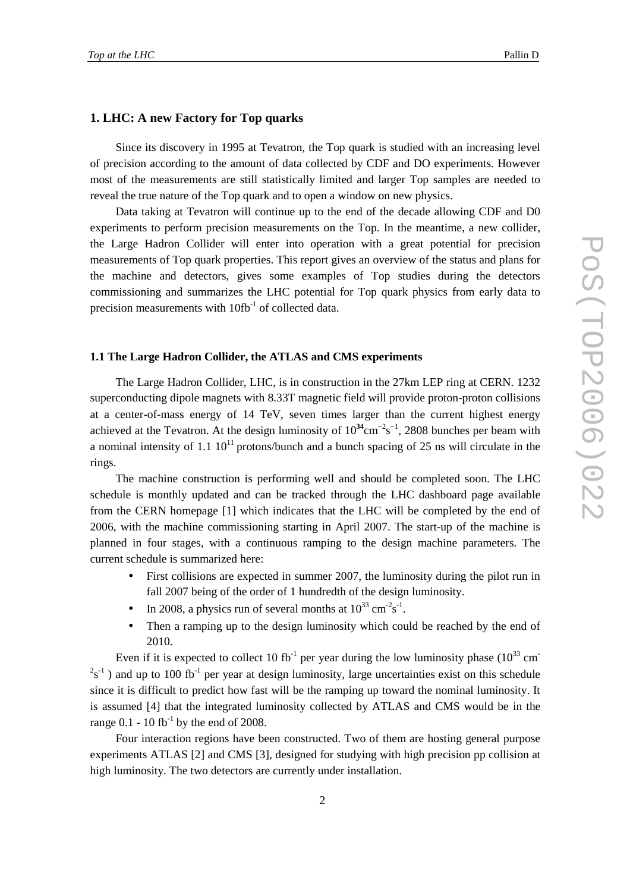#### **1. LHC: A new Factory for Top quarks**

Since its discovery in 1995 at Tevatron, the Top quark is studied with an increasing level of precision according to the amount of data collected by CDF and DO experiments. However most of the measurements are still statistically limited and larger Top samples are needed to reveal the true nature of the Top quark and to open a window on new physics.

Data taking at Tevatron will continue up to the end of the decade allowing CDF and D0 experiments to perform precision measurements on the Top. In the meantime, a new collider, the Large Hadron Collider will enter into operation with a great potential for precision measurements of Top quark properties. This report gives an overview of the status and plans for the machine and detectors, gives some examples of Top studies during the detectors commissioning and summarizes the LHC potential for Top quark physics from early data to precision measurements with  $10\text{fb}^{-1}$  of collected data.

#### **1.1 The Large Hadron Collider, the ATLAS and CMS experiments**

The Large Hadron Collider, LHC, is in construction in the 27km LEP ring at CERN. 1232 superconducting dipole magnets with 8.33T magnetic field will provide proton-proton collisions at a center-of-mass energy of 14 TeV, seven times larger than the current highest energy achieved at the Tevatron. At the design luminosity of  $10^{34}$ cm<sup>-2</sup>s<sup>-1</sup>, 2808 bunches per beam with a nominal intensity of 1.1  $10^{11}$  protons/bunch and a bunch spacing of 25 ns will circulate in the rings.

The machine construction is performing well and should be completed soon. The LHC schedule is monthly updated and can be tracked through the LHC dashboard page available from the CERN homepage [1] which indicates that the LHC will be completed by the end of 2006, with the machine commissioning starting in April 2007. The start-up of the machine is planned in four stages, with a continuous ramping to the design machine parameters. The current schedule is summarized here:

- First collisions are expected in summer 2007, the luminosity during the pilot run in fall 2007 being of the order of 1 hundredth of the design luminosity.
- In 2008, a physics run of several months at  $10^{33}$  cm<sup>-2</sup>s<sup>-1</sup>.
- Then a ramping up to the design luminosity which could be reached by the end of 2010.

Even if it is expected to collect 10 fb<sup>-1</sup> per year during the low luminosity phase  $(10^{33} \text{ cm}^{-1})$  $2s^{-1}$ ) and up to 100 fb<sup>-1</sup> per year at design luminosity, large uncertainties exist on this schedule since it is difficult to predict how fast will be the ramping up toward the nominal luminosity. It is assumed [4] that the integrated luminosity collected by ATLAS and CMS would be in the range  $0.1 - 10$  fb<sup>-1</sup> by the end of 2008.

Four interaction regions have been constructed. Two of them are hosting general purpose experiments ATLAS [2] and CMS [3], designed for studying with high precision pp collision at high luminosity. The two detectors are currently under installation.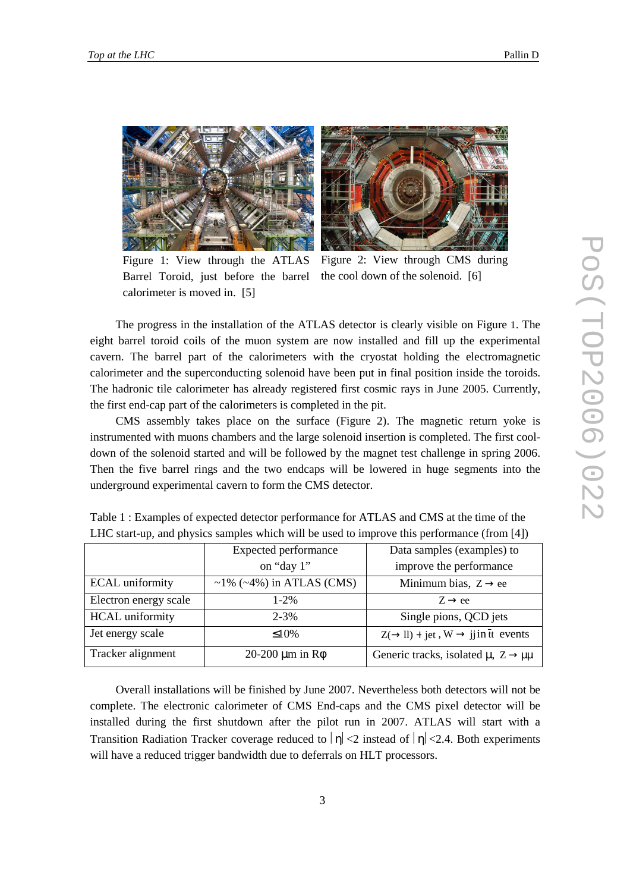



Figure 1: View through the ATLAS Barrel Toroid, just before the barrel calorimeter is moved in. [5]

Figure 2: View through CMS during the cool down of the solenoid. [6]

The progress in the installation of the ATLAS detector is clearly visible on Figure 1. The eight barrel toroid coils of the muon system are now installed and fill up the experimental cavern. The barrel part of the calorimeters with the cryostat holding the electromagnetic calorimeter and the superconducting solenoid have been put in final position inside the toroids. The hadronic tile calorimeter has already registered first cosmic rays in June 2005. Currently, the first end-cap part of the calorimeters is completed in the pit.

CMS assembly takes place on the surface (Figure 2). The magnetic return yoke is instrumented with muons chambers and the large solenoid insertion is completed. The first cooldown of the solenoid started and will be followed by the magnet test challenge in spring 2006. Then the five barrel rings and the two endcaps will be lowered in huge segments into the underground experimental cavern to form the CMS detector.

|                        | <b>Expected performance</b>           | Data samples (examples) to                                  |
|------------------------|---------------------------------------|-------------------------------------------------------------|
|                        | on "day 1"                            | improve the performance                                     |
| <b>ECAL</b> uniformity | $\sim$ 1% ( $\sim$ 4%) in ATLAS (CMS) | Minimum bias, $Z \rightarrow ee$                            |
| Electron energy scale  | $1 - 2\%$                             | $Z \rightarrow ee$                                          |
| <b>HCAL</b> uniformity | $2 - 3\%$                             | Single pions, QCD jets                                      |
| Jet energy scale       | $\leq 10\%$                           | $Z(\rightarrow ll)$ + jet, W $\rightarrow$ jj in the events |
| Tracker alignment      | $20-200 \mu m$ in R $\phi$            | Generic tracks, isolated $\mu$ , $Z \rightarrow \mu\mu$     |

Table 1 : Examples of expected detector performance for ATLAS and CMS at the time of the LHC start-up, and physics samples which will be used to improve this performance (from [4])

Overall installations will be finished by June 2007. Nevertheless both detectors will not be complete. The electronic calorimeter of CMS End-caps and the CMS pixel detector will be installed during the first shutdown after the pilot run in 2007. ATLAS will start with a Transition Radiation Tracker coverage reduced to  $|n| < 2$  instead of  $|n| < 2.4$ . Both experiments will have a reduced trigger bandwidth due to deferrals on HLT processors.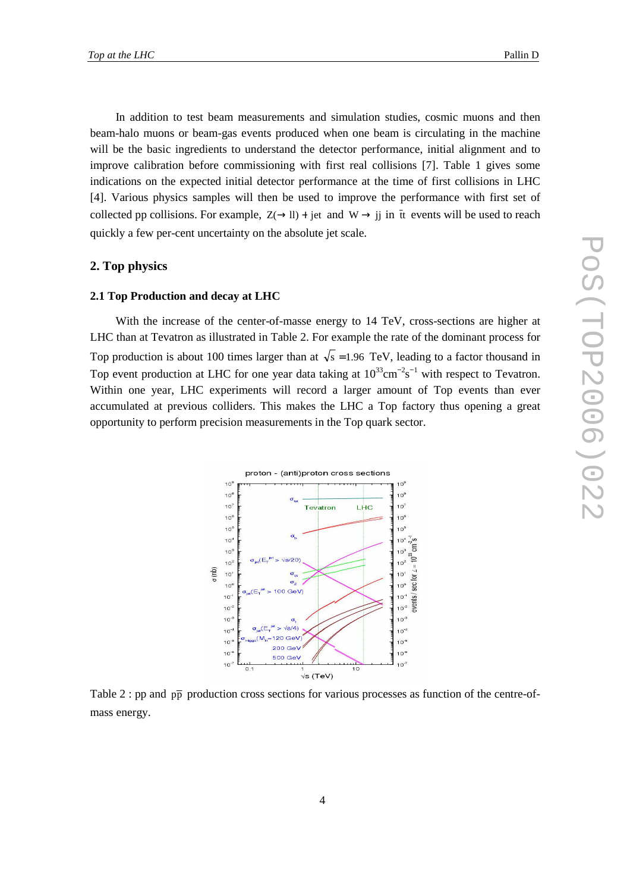In addition to test beam measurements and simulation studies, cosmic muons and then beam-halo muons or beam-gas events produced when one beam is circulating in the machine will be the basic ingredients to understand the detector performance, initial alignment and to improve calibration before commissioning with first real collisions [7]. Table 1 gives some indications on the expected initial detector performance at the time of first collisions in LHC [4]. Various physics samples will then be used to improve the performance with first set of collected pp collisions. For example,  $Z(\rightarrow ll)$  + jet and W  $\rightarrow$  ji in tt events will be used to reach quickly a few per-cent uncertainty on the absolute jet scale.

#### **2. Top physics**

#### **2.1 Top Production and decay at LHC**

With the increase of the center-of-masse energy to 14 TeV, cross-sections are higher at LHC than at Tevatron as illustrated in Table 2. For example the rate of the dominant process for Top production is about 100 times larger than at  $\sqrt{s} = 1.96$  TeV, leading to a factor thousand in Top event production at LHC for one year data taking at  $10^{33}$ cm<sup>-2</sup>s<sup>-1</sup> with respect to Tevatron. Within one year, LHC experiments will record a larger amount of Top events than ever accumulated at previous colliders. This makes the LHC a Top factory thus opening a great opportunity to perform precision measurements in the Top quark sector.



Table 2 : pp and  $p\bar{p}$  production cross sections for various processes as function of the centre-ofmass energy.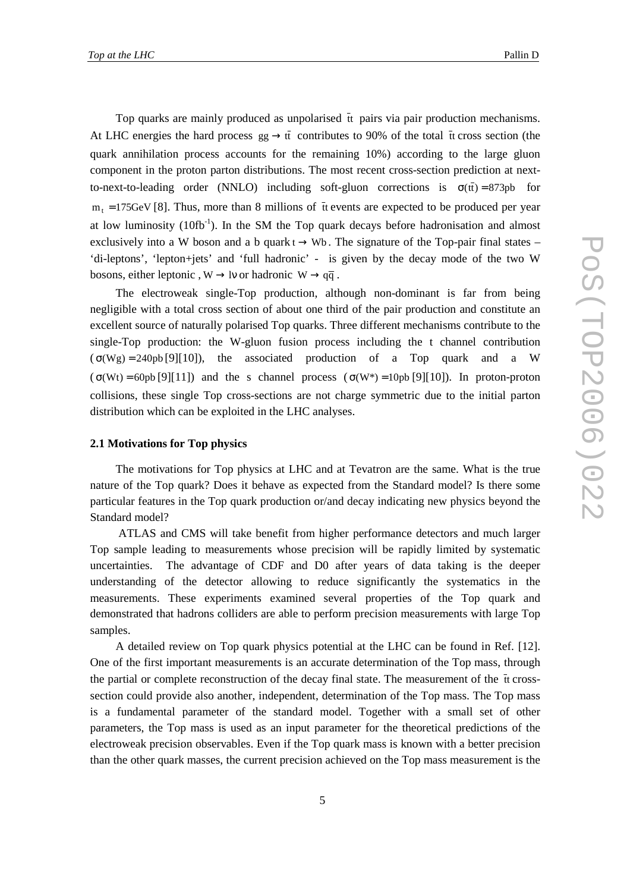Top quarks are mainly produced as unpolarised  $\overline{t}$  t pairs via pair production mechanisms. At LHC energies the hard process  $gg \to t\bar{t}$  contributes to 90% of the total  $\bar{t}$  cross section (the quark annihilation process accounts for the remaining 10%) according to the large gluon component in the proton parton distributions. The most recent cross-section prediction at nextto-next-to-leading order (NNLO) including soft-gluon corrections is  $\sigma(\bar{t}) = 873pb$  for  $m<sub>t</sub>$  = 175GeV [8]. Thus, more than 8 millions of  $\bar{t}$  events are expected to be produced per year at low luminosity  $(10\text{fb}^{-1})$ . In the SM the Top quark decays before hadronisation and almost exclusively into a W boson and a b quark  $t \rightarrow Wb$ . The signature of the Top-pair final states – 'di-leptons', 'lepton+jets' and 'full hadronic' - is given by the decay mode of the two W bosons, either leptonic,  $W \rightarrow IV$  or hadronic  $W \rightarrow q\bar{q}$ .

The electroweak single-Top production, although non-dominant is far from being negligible with a total cross section of about one third of the pair production and constitute an excellent source of naturally polarised Top quarks. Three different mechanisms contribute to the single-Top production: the W-gluon fusion process including the t channel contribution  $(\sigma(Wg) = 240pb[9][10])$ , the associated production of a Top quark and a W  $(\sigma(Wt) = 60pb[9][11])$  and the s channel process  $(\sigma(W*) = 10pb[9][10])$ . In proton-proton collisions, these single Top cross-sections are not charge symmetric due to the initial parton distribution which can be exploited in the LHC analyses.

#### **2.1 Motivations for Top physics**

The motivations for Top physics at LHC and at Tevatron are the same. What is the true nature of the Top quark? Does it behave as expected from the Standard model? Is there some particular features in the Top quark production or/and decay indicating new physics beyond the Standard model?

 ATLAS and CMS will take benefit from higher performance detectors and much larger Top sample leading to measurements whose precision will be rapidly limited by systematic uncertainties. The advantage of CDF and D0 after years of data taking is the deeper understanding of the detector allowing to reduce significantly the systematics in the measurements. These experiments examined several properties of the Top quark and demonstrated that hadrons colliders are able to perform precision measurements with large Top samples.

A detailed review on Top quark physics potential at the LHC can be found in Ref. [12]. One of the first important measurements is an accurate determination of the Top mass, through the partial or complete reconstruction of the decay final state. The measurement of the  $\bar{t}$  terosssection could provide also another, independent, determination of the Top mass. The Top mass is a fundamental parameter of the standard model. Together with a small set of other parameters, the Top mass is used as an input parameter for the theoretical predictions of the electroweak precision observables. Even if the Top quark mass is known with a better precision than the other quark masses, the current precision achieved on the Top mass measurement is the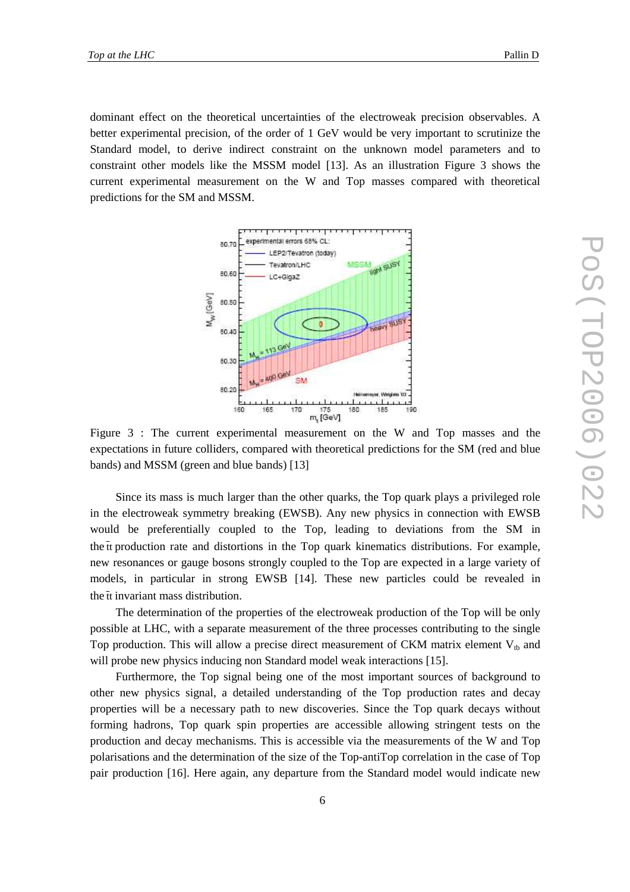dominant effect on the theoretical uncertainties of the electroweak precision observables. A better experimental precision, of the order of 1 GeV would be very important to scrutinize the Standard model, to derive indirect constraint on the unknown model parameters and to constraint other models like the MSSM model [13]. As an illustration Figure 3 shows the current experimental measurement on the W and Top masses compared with theoretical predictions for the SM and MSSM.



Figure 3 : The current experimental measurement on the W and Top masses and the expectations in future colliders, compared with theoretical predictions for the SM (red and blue bands) and MSSM (green and blue bands) [13]

Since its mass is much larger than the other quarks, the Top quark plays a privileged role in the electroweak symmetry breaking (EWSB). Any new physics in connection with EWSB would be preferentially coupled to the Top, leading to deviations from the SM in the  $\bar{t}$  the the roduction rate and distortions in the Top quark kinematics distributions. For example, new resonances or gauge bosons strongly coupled to the Top are expected in a large variety of models, in particular in strong EWSB [14]. These new particles could be revealed in the tt invariant mass distribution.

The determination of the properties of the electroweak production of the Top will be only possible at LHC, with a separate measurement of the three processes contributing to the single Top production. This will allow a precise direct measurement of CKM matrix element  $V_{th}$  and will probe new physics inducing non Standard model weak interactions [15].

Furthermore, the Top signal being one of the most important sources of background to other new physics signal, a detailed understanding of the Top production rates and decay properties will be a necessary path to new discoveries. Since the Top quark decays without forming hadrons, Top quark spin properties are accessible allowing stringent tests on the production and decay mechanisms. This is accessible via the measurements of the W and Top polarisations and the determination of the size of the Top-antiTop correlation in the case of Top pair production [16]. Here again, any departure from the Standard model would indicate new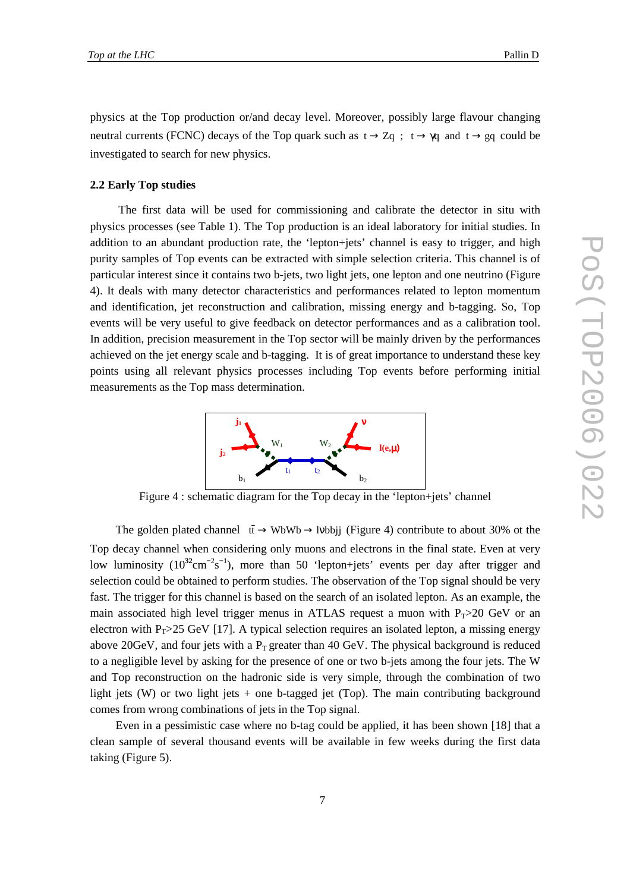physics at the Top production or/and decay level. Moreover, possibly large flavour changing neutral currents (FCNC) decays of the Top quark such as  $t \to Zq$ ;  $t \to \gamma q$  and  $t \to gq$  could be investigated to search for new physics.

#### **2.2 Early Top studies**

 The first data will be used for commissioning and calibrate the detector in situ with physics processes (see Table 1). The Top production is an ideal laboratory for initial studies. In addition to an abundant production rate, the 'lepton+jets' channel is easy to trigger, and high purity samples of Top events can be extracted with simple selection criteria. This channel is of particular interest since it contains two b-jets, two light jets, one lepton and one neutrino (Figure 4). It deals with many detector characteristics and performances related to lepton momentum and identification, jet reconstruction and calibration, missing energy and b-tagging. So, Top events will be very useful to give feedback on detector performances and as a calibration tool. In addition, precision measurement in the Top sector will be mainly driven by the performances achieved on the jet energy scale and b-tagging. It is of great importance to understand these key points using all relevant physics processes including Top events before performing initial measurements as the Top mass determination.



Figure 4 : schematic diagram for the Top decay in the 'lepton+jets' channel

The golden plated channel  $\bar{t}$  → WbWb → lvbbjj (Figure 4) contribute to about 30% ot the Top decay channel when considering only muons and electrons in the final state. Even at very low luminosity (10<sup>32</sup>cm<sup>-2</sup>s<sup>-1</sup>), more than 50 'lepton+jets' events per day after trigger and selection could be obtained to perform studies. The observation of the Top signal should be very fast. The trigger for this channel is based on the search of an isolated lepton. As an example, the main associated high level trigger menus in ATLAS request a muon with  $P_T>20$  GeV or an electron with P<sub>T</sub>>25 GeV [17]. A typical selection requires an isolated lepton, a missing energy above 20GeV, and four jets with a  $P_T$  greater than 40 GeV. The physical background is reduced to a negligible level by asking for the presence of one or two b-jets among the four jets. The W and Top reconstruction on the hadronic side is very simple, through the combination of two light jets (W) or two light jets + one b-tagged jet (Top). The main contributing background comes from wrong combinations of jets in the Top signal.

Even in a pessimistic case where no b-tag could be applied, it has been shown [18] that a clean sample of several thousand events will be available in few weeks during the first data taking (Figure 5).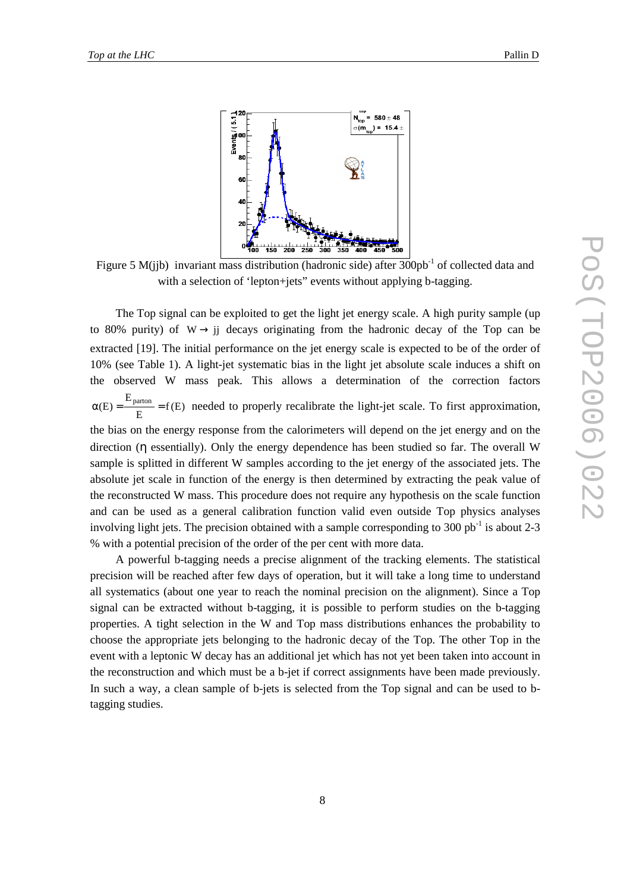

Figure 5 M(jjb) invariant mass distribution (hadronic side) after  $300pb^{-1}$  of collected data and with a selection of 'lepton+jets' events without applying b-tagging.

The Top signal can be exploited to get the light jet energy scale. A high purity sample (up to 80% purity) of  $W \rightarrow i$  decays originating from the hadronic decay of the Top can be extracted [19]. The initial performance on the jet energy scale is expected to be of the order of 10% (see Table 1). A light-jet systematic bias in the light jet absolute scale induces a shift on the observed W mass peak. This allows a determination of the correction factors  $\frac{\text{aion}}{E} = f(E)$ E  $\alpha(E) = \frac{E_{\text{parton}}}{E_{\text{parton}}} = f(E)$  needed to properly recalibrate the light-jet scale. To first approximation, the bias on the energy response from the calorimeters will depend on the jet energy and on the direction (η essentially). Only the energy dependence has been studied so far. The overall W sample is splitted in different W samples according to the jet energy of the associated jets. The absolute jet scale in function of the energy is then determined by extracting the peak value of the reconstructed W mass. This procedure does not require any hypothesis on the scale function and can be used as a general calibration function valid even outside Top physics analyses involving light jets. The precision obtained with a sample corresponding to 300 pb<sup>-1</sup> is about 2-3 % with a potential precision of the order of the per cent with more data.

A powerful b-tagging needs a precise alignment of the tracking elements. The statistical precision will be reached after few days of operation, but it will take a long time to understand all systematics (about one year to reach the nominal precision on the alignment). Since a Top signal can be extracted without b-tagging, it is possible to perform studies on the b-tagging properties. A tight selection in the W and Top mass distributions enhances the probability to choose the appropriate jets belonging to the hadronic decay of the Top. The other Top in the event with a leptonic W decay has an additional jet which has not yet been taken into account in the reconstruction and which must be a b-jet if correct assignments have been made previously. In such a way, a clean sample of b-jets is selected from the Top signal and can be used to btagging studies.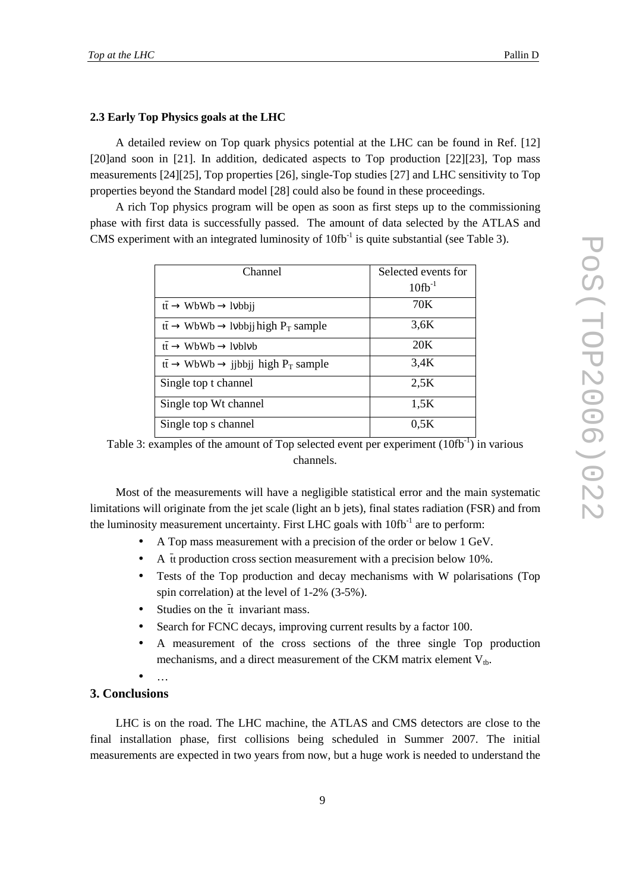#### **2.3 Early Top Physics goals at the LHC**

A detailed review on Top quark physics potential at the LHC can be found in Ref. [12] [20]and soon in [21]. In addition, dedicated aspects to Top production [22][23], Top mass measurements [24][25], Top properties [26], single-Top studies [27] and LHC sensitivity to Top properties beyond the Standard model [28] could also be found in these proceedings.

A rich Top physics program will be open as soon as first steps up to the commissioning phase with first data is successfully passed. The amount of data selected by the ATLAS and CMS experiment with an integrated luminosity of  $10fb^{-1}$  is quite substantial (see Table 3).

| Channel                                                                                | Selected events for |
|----------------------------------------------------------------------------------------|---------------------|
|                                                                                        | $10fb^{-1}$         |
| $\overline{\text{t}\text{t}} \to \text{WbWb} \to \text{Ivbbji}$                        | 70K                 |
| $\overline{\text{tt}} \to \text{WbWb} \to \text{lvbbji}$ high P <sub>T</sub> sample    | 3,6K                |
| $\text{t}t \rightarrow \text{WbWb} \rightarrow \text{lvblvb}$                          | 20 <sub>K</sub>     |
| $\bar{t}$ $\bar{t}$ $\rightarrow$ WbWb $\rightarrow$ jjbbjj high P <sub>T</sub> sample | 3,4K                |
| Single top t channel                                                                   | 2.5K                |
| Single top Wt channel                                                                  | 1,5K                |
| Single top s channel                                                                   | 0.5K                |

Table 3: examples of the amount of Top selected event per experiment  $(10\text{fb}^{-1})$  in various channels.

Most of the measurements will have a negligible statistical error and the main systematic limitations will originate from the jet scale (light an b jets), final states radiation (FSR) and from the luminosity measurement uncertainty. First LHC goals with  $10\text{fb}^{-1}$  are to perform:

- A Top mass measurement with a precision of the order or below 1 GeV.
- A  $\bar{t}$  t production cross section measurement with a precision below 10%.
- Tests of the Top production and decay mechanisms with W polarisations (Top spin correlation) at the level of 1-2% (3-5%).
- Studies on the  $\bar{t}$  invariant mass.
- Search for FCNC decays, improving current results by a factor 100.
- A measurement of the cross sections of the three single Top production mechanisms, and a direct measurement of the CKM matrix element  $V_{th}$ .
- …

### **3. Conclusions**

LHC is on the road. The LHC machine, the ATLAS and CMS detectors are close to the final installation phase, first collisions being scheduled in Summer 2007. The initial measurements are expected in two years from now, but a huge work is needed to understand the